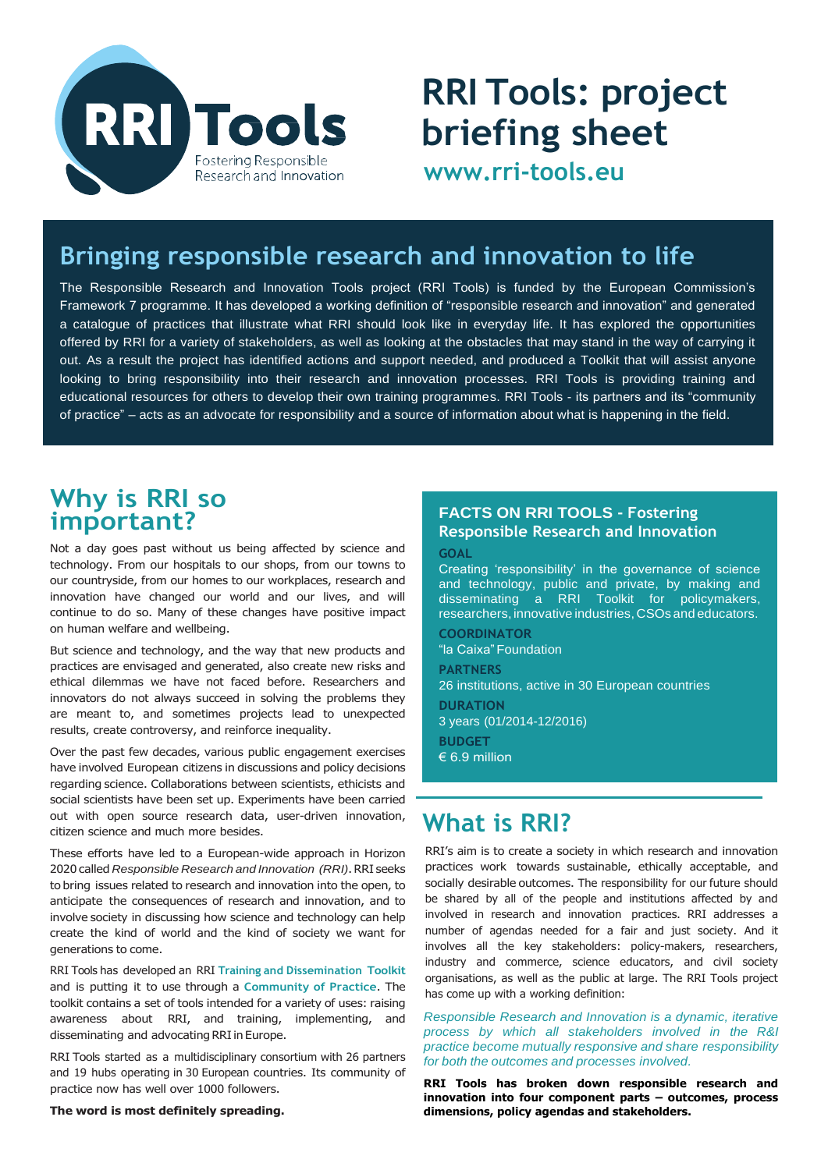

# **RRI Tools: project briefing sheet**

**[www.rri-tools.eu](http://www.rri-tools.eu/)**

# **Bringing responsible research and innovation to life**

The Responsible Research and Innovation Tools project (RRI Tools) is funded by the European Commission's Framework 7 programme. It has developed a working definition of "responsible research and innovation" and generated a catalogue of practices that illustrate what RRI should look like in everyday life. It has explored the opportunities offered by RRI for a variety of stakeholders, as well as looking at the obstacles that may stand in the way of carrying it out. As a result the project has identified actions and support needed, and produced a Toolkit that will assist anyone looking to bring responsibility into their research and innovation processes. RRI Tools is providing training and educational resources for others to develop their own training programmes. RRI Tools - its partners and its "community of practice" – acts as an advocate for responsibility and a source of information about what is happening in the field.

## **Why is RRI so important?**

Not a day goes past without us being affected by science and technology. From our hospitals to our shops, from our towns to our countryside, from our homes to our workplaces, research and innovation have changed our world and our lives, and will continue to do so. Many of these changes have positive impact on human welfare and wellbeing.

But science and technology, and the way that new products and practices are envisaged and generated, also create new risks and ethical dilemmas we have not faced before. Researchers and innovators do not always succeed in solving the problems they are meant to, and sometimes projects lead to unexpected results, create controversy, and reinforce inequality.

Over the past few decades, various public engagement exercises have involved European citizens in discussions and policy decisions regarding science. Collaborations between scientists, ethicists and social scientists have been set up. Experiments have been carried out with open source research data, user-driven innovation, citizen science and much more besides.

These efforts have led to a European-wide approach in Horizon 2020 called *Responsible Research and Innovation (RRI)*. RRI seeks to bring issues related to research and innovation into the open, to anticipate the consequences of research and innovation, and to involve society in discussing how science and technology can help create the kind of world and the kind of society we want for generations to come.

RRI Tools has developed an RRI **Training and Dissemination Toolkit**  and is putting it to use through a **Community of Practice**. The toolkit contains a set of tools intended for a variety of uses: raising awareness about RRI, and training, implementing, and disseminating and advocating RRI in Europe.

RRI Tools started as a multidisciplinary consortium with 26 partners and 19 hubs operating in 30 European countries. Its community of practice now has well over 1000 followers.

#### **The word is most definitely spreading.**

#### **FACTS ON RRI TOOLS - Fostering Responsible Research and Innovation**

**GOAL**

Creating 'responsibility' in the governance of science and technology, public and private, by making and disseminating a RRI Toolkit for policymakers, researchers, innovative industries, CSOs and educators.

**COORDINATOR** "la Caixa"Foundation **PARTNERS** 26 institutions, active in 30 European countries **DURATION** 3 years (01/2014-12/2016) **BUDGET** € 6.9 million

# **What is RRI?**

RRI's aim is to create a society in which research and innovation practices work towards sustainable, ethically acceptable, and socially desirable outcomes. The responsibility for our future should be shared by all of the people and institutions affected by and involved in research and innovation practices. RRI addresses a number of agendas needed for a fair and just society. And it involves all the key stakeholders: policy-makers, researchers, industry and commerce, science educators, and civil society organisations, as well as the public at large. The RRI Tools project has come up with a working definition:

*Responsible Research and Innovation is a dynamic, iterative process by which all stakeholders involved in the R&I practice become mutually responsive and share responsibility for both the outcomes and processes involved.*

**RRI Tools has broken down responsible research and innovation into four component parts – outcomes, process dimensions, policy agendas and stakeholders.**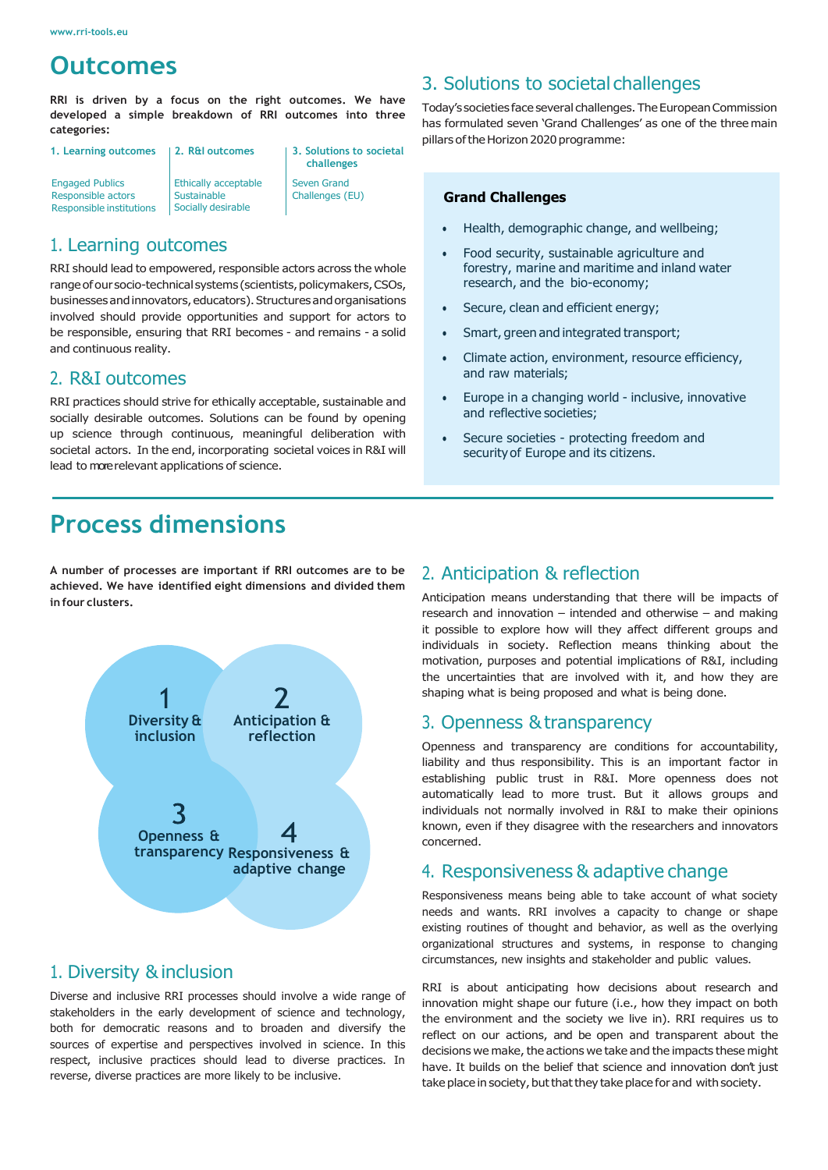# **Outcomes**

**RRI is driven by a focus on the right outcomes. We have developed a simple breakdown of RRI outcomes into three categories:**

| 1. Learning outcomes                                                     | 2. R&I outcomes                                           | 3. Solutions to societal<br>challenges |
|--------------------------------------------------------------------------|-----------------------------------------------------------|----------------------------------------|
| <b>Engaged Publics</b><br>Responsible actors<br>Responsible institutions | Ethically acceptable<br>Sustainable<br>Socially desirable | <b>Seven Grand</b><br>Challenges (EU)  |

### 1. Learning outcomes

RRI should lead to empowered, responsible actors across the whole range of our socio-technical systems (scientists, policymakers, CSOs, businesses and innovators, educators). Structures and organisations involved should provide opportunities and support for actors to be responsible, ensuring that RRI becomes - and remains - a solid and continuous reality.

### 2. R&I outcomes

RRI practices should strive for ethically acceptable, sustainable and socially desirable outcomes. Solutions can be found by opening up science through continuous, meaningful deliberation with societal actors. In the end, incorporating societal voices in R&I will lead to more relevant applications of science.

# **Process dimensions**

**A number of processes are important if RRI outcomes are to be achieved. We have identified eight dimensions and divided them in four clusters.**



### 1. Diversity &inclusion

Diverse and inclusive RRI processes should involve a wide range of stakeholders in the early development of science and technology, both for democratic reasons and to broaden and diversify the sources of expertise and perspectives involved in science. In this respect, inclusive practices should lead to diverse practices. In reverse, diverse practices are more likely to be inclusive.

### 3. Solutions to societal challenges

Today's societies face several challenges. The European Commission has formulated seven 'Grand Challenges' as one of the three main pillars of the Horizon 2020 programme:

#### **Grand Challenges**

- Health, demographic change, and wellbeing;
- Food security, sustainable agriculture and forestry, marine and maritime and inland water research, and the bio-economy;
- Secure, clean and efficient energy;
- Smart, green and integrated transport;
- Climate action, environment, resource efficiency, and raw materials;
- Europe in a changing world inclusive, innovative and reflective societies;
- Secure societies protecting freedom and security of Europe and its citizens.

### 2. Anticipation & reflection

Anticipation means understanding that there will be impacts of research and innovation – intended and otherwise – and making it possible to explore how will they affect different groups and individuals in society. Reflection means thinking about the motivation, purposes and potential implications of R&I, including the uncertainties that are involved with it, and how they are shaping what is being proposed and what is being done.

### 3. Openness &transparency

Openness and transparency are conditions for accountability, liability and thus responsibility. This is an important factor in establishing public trust in R&I. More openness does not automatically lead to more trust. But it allows groups and individuals not normally involved in R&I to make their opinions known, even if they disagree with the researchers and innovators concerned.

### 4. Responsiveness & adaptive change

Responsiveness means being able to take account of what society needs and wants. RRI involves a capacity to change or shape existing routines of thought and behavior, as well as the overlying organizational structures and systems, in response to changing circumstances, new insights and stakeholder and public values.

RRI is about anticipating how decisions about research and innovation might shape our future (i.e., how they impact on both the environment and the society we live in). RRI requires us to reflect on our actions, and be open and transparent about the decisions we make, the actions we take and the impacts these might have. It builds on the belief that science and innovation don't just take place in society, but that they take place for and with society.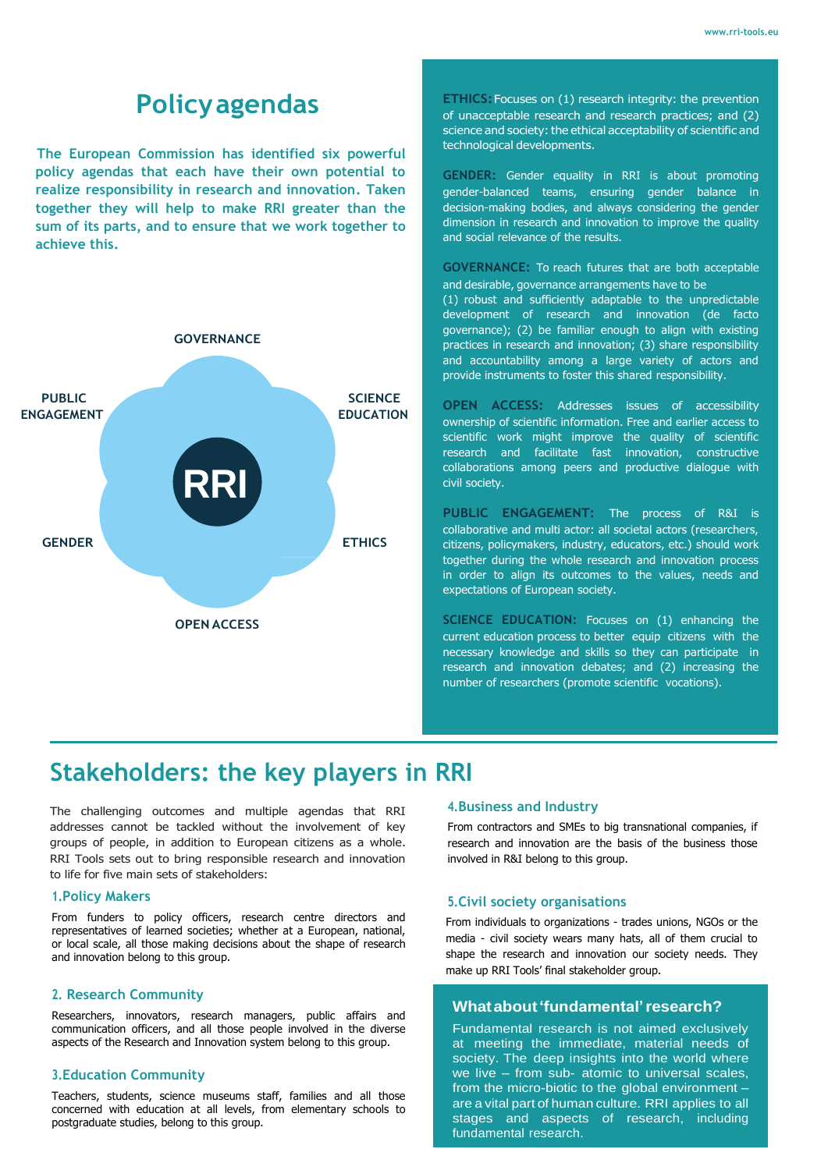# **Policyagendas**

 **The European Commission has identified six powerful policy agendas that each have their own potential to realize responsibility in research and innovation. Taken together they will help to make RRI greater than the sum of its parts, and to ensure that we work together to achieve this.** 



**ETHICS:** Focuses on (1) research integrity: the prevention of unacceptable research and research practices; and (2) science and society: the ethical acceptability of scientific and technological developments.

**GENDER:** Gender equality in RRI is about promoting gender-balanced teams, ensuring gender balance in decision-making bodies, and always considering the gender dimension in research and innovation to improve the quality and social relevance of the results.

**GOVERNANCE:** To reach futures that are both acceptable and desirable, governance arrangements have to be (1) robust and sufficiently adaptable to the unpredictable development of research and innovation (de facto governance); (2) be familiar enough to align with existing practices in research and innovation; (3) share responsibility and accountability among a large variety of actors and provide instruments to foster this shared responsibility.

**OPEN ACCESS:** Addresses issues of accessibility ownership of scientific information. Free and earlier access to scientific work might improve the quality of scientific research and facilitate fast innovation, constructive collaborations among peers and productive dialogue with civil society.

**PUBLIC ENGAGEMENT:** The process of R&I is collaborative and multi actor: all societal actors (researchers, citizens, policymakers, industry, educators, etc.) should work together during the whole research and innovation process in order to align its outcomes to the values, needs and expectations of European society.

**SCIENCE EDUCATION:** Focuses on (1) enhancing the current education process to better equip citizens with the necessary knowledge and skills so they can participate in research and innovation debates; and (2) increasing the number of researchers (promote scientific vocations).

# **Stakeholders: the key players in RRI**

The challenging outcomes and multiple agendas that RRI addresses cannot be tackled without the involvement of key groups of people, in addition to European citizens as a whole. RRI Tools sets out to bring responsible research and innovation to life for five main sets of stakeholders:

#### **1.Policy Makers**

From funders to policy officers, research centre directors and representatives of learned societies; whether at a European, national, or local scale, all those making decisions about the shape of research and innovation belong to this group.

#### **2. Research Community**

Researchers, innovators, research managers, public affairs and communication officers, and all those people involved in the diverse aspects of the Research and Innovation system belong to this group.

#### **3.Education Community**

Teachers, students, science museums staff, families and all those concerned with education at all levels, from elementary schools to postgraduate studies, belong to this group.

#### **4.Business and Industry**

From contractors and SMEs to big transnational companies, if research and innovation are the basis of the business those involved in R&I belong to this group.

#### **5.Civil society organisations**

From individuals to organizations - trades unions, NGOs or the media - civil society wears many hats, all of them crucial to shape the research and innovation our society needs. They make up RRI Tools' final stakeholder group.

#### **Whatabout'fundamental'research?**

Fundamental research is not aimed exclusively at meeting the immediate, material needs of society. The deep insights into the world where we live – from sub- atomic to universal scales, from the micro-biotic to the global environment – are a vital part of human culture. RRI applies to all stages and aspects of research, including fundamental research.